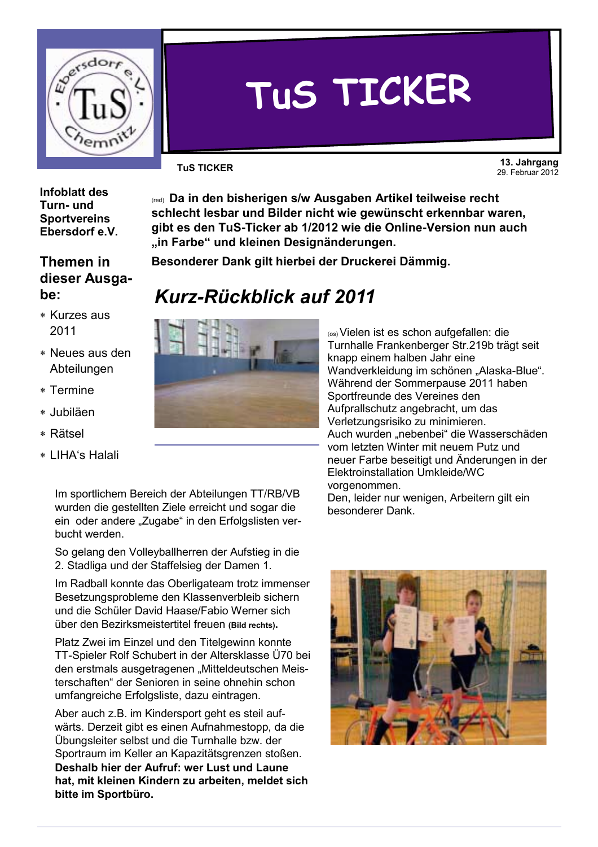

# TUS TICKER

**TUS TICKER** 

13. Jahrgang 29. Februar 2012

**Infoblatt des** Turn- und **Sportvereins** Ebersdorf e.V.

#### **Themen in** dieser Ausgahe·

- \* Kurzes aus 2011
- \* Neues aus den Abteilungen
- \* Termine
- \* Jubiläen
- \* Rätsel
- \* I IHA's Halali

Im sportlichem Bereich der Abteilungen TT/RB/VB wurden die gestellten Ziele erreicht und sogar die ein oder andere "Zugabe" in den Erfolgslisten verbucht werden.

So gelang den Volleyballherren der Aufstieg in die 2. Stadliga und der Staffelsieg der Damen 1.

Im Radball konnte das Oberligateam trotz immenser Besetzungsprobleme den Klassenverbleib sichern und die Schüler David Haase/Fabio Werner sich über den Bezirksmeistertitel freuen (Bild rechts).

Platz Zwei im Einzel und den Titelgewinn konnte TT-Spieler Rolf Schubert in der Altersklasse Ü70 bei den erstmals ausgetragenen "Mitteldeutschen Meisterschaften" der Senioren in seine ohnehin schon umfangreiche Erfolgsliste, dazu eintragen.

Aber auch z.B. im Kindersport geht es steil aufwärts. Derzeit gibt es einen Aufnahmestopp, da die Übungsleiter selbst und die Turnhalle bzw. der Sportraum im Keller an Kapazitätsgrenzen stoßen. Deshalb hier der Aufruf: wer Lust und Laune hat, mit kleinen Kindern zu arbeiten, meldet sich bitte im Sportbüro.

<sub>(red)</sub> Da in den bisherigen s/w Ausgaben Artikel teilweise recht schlecht lesbar und Bilder nicht wie gewünscht erkennbar waren, gibt es den TuS-Ticker ab 1/2012 wie die Online-Version nun auch "in Farbe" und kleinen Designänderungen.

Besonderer Dank gilt hierbei der Druckerei Dämmig.

# Kurz-Rückblick auf 2011



(os) Vielen ist es schon aufgefallen: die Turnhalle Frankenberger Str.219b trägt seit knapp einem halben Jahr eine Wandverkleidung im schönen "Alaska-Blue". Während der Sommerpause 2011 haben Sportfreunde des Vereines den Aufprallschutz angebracht, um das Verletzungsrisiko zu minimieren. Auch wurden "nebenbei" die Wasserschäden vom letzten Winter mit neuem Putz und neuer Farbe beseitigt und Änderungen in der Elektroinstallation Umkleide/WC vorgenommen.

Den, leider nur wenigen, Arbeitern gilt ein besonderer Dank.

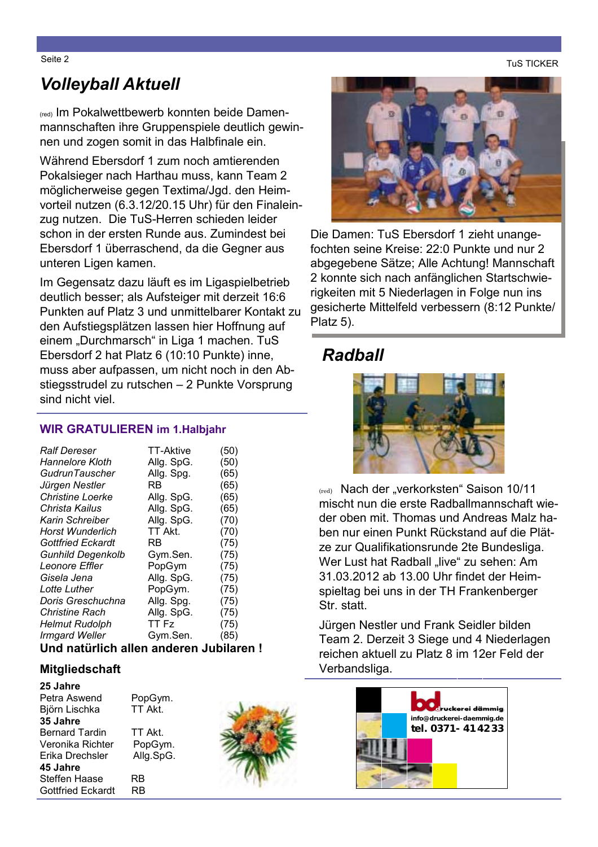**TuS TICKER** 

# Seite 2

## **Volleyball Aktuell**

<sub>(red)</sub> Im Pokalwettbewerb konnten beide Damenmannschaften ihre Gruppenspiele deutlich gewinnen und zogen somit in das Halbfinale ein.

Während Ebersdorf 1 zum noch amtierenden Pokalsieger nach Harthau muss, kann Team 2 möglicherweise gegen Textima/Jgd. den Heimvorteil nutzen (6.3.12/20.15 Uhr) für den Finaleinzug nutzen. Die TuS-Herren schieden leider schon in der ersten Runde aus. Zumindest bei Ebersdorf 1 überraschend, da die Gegner aus unteren Ligen kamen.

Im Gegensatz dazu läuft es im Ligaspielbetrieb deutlich besser; als Aufsteiger mit derzeit 16:6 Punkten auf Platz 3 und unmittelbarer Kontakt zu den Aufstiegsplätzen lassen hier Hoffnung auf einem "Durchmarsch" in Liga 1 machen. TuS Ebersdorf 2 hat Platz 6 (10:10 Punkte) inne, muss aber aufpassen, um nicht noch in den Abstiegsstrudel zu rutschen - 2 Punkte Vorsprung sind nicht viel.

#### **WIR GRATULIEREN im 1. Halbjahr**

|            | (50)             |
|------------|------------------|
| Allg. SpG. | (50)             |
| Allg. Spg. | (65)             |
| RB         | (65)             |
| Allg. SpG. | (65)             |
| Allg. SpG. | (65)             |
| Allg. SpG. | (70)             |
| TT Akt.    | (70)             |
| RB         | (75)             |
| Gym.Sen.   | (75)             |
| PopGym     | (75)             |
| Allg. SpG. | (75)             |
| PopGym.    | (75)             |
| Allg. Spg. | (75)             |
| Allg. SpG. | (75)             |
| TT Fz      | (75)             |
| Gym.Sen.   | (85)             |
|            | <b>TT-Aktive</b> |

#### Und natürlich allen anderen Jubilaren!

#### **Mitgliedschaft**

| 25 Janre                 |           |
|--------------------------|-----------|
| Petra Aswend             | PopGym.   |
| Björn Lischka            | TT Akt.   |
| 35 Jahre                 |           |
| <b>Bernard Tardin</b>    | TT Akt.   |
| Veronika Richter         | PopGym.   |
| Erika Drechsler          | Allg.SpG. |
| 45 Jahre                 |           |
| Steffen Haase            | RB        |
| <b>Gottfried Eckardt</b> | RB        |
|                          |           |





Die Damen: TuS Ebersdorf 1 zieht unangefochten seine Kreise: 22:0 Punkte und nur 2 abgegebene Sätze; Alle Achtung! Mannschaft 2 konnte sich nach anfänglichen Startschwierigkeiten mit 5 Niederlagen in Folge nun ins gesicherte Mittelfeld verbessern (8:12 Punkte/ Platz 5).

## **Radhall**



(red) Nach der "verkorksten" Saison 10/11 mischt nun die erste Radballmannschaft wieder oben mit Thomas und Andreas Malz haben nur einen Punkt Rückstand auf die Plätze zur Qualifikationsrunde 2te Bundesliga. Wer Lust hat Radball live" zu sehen: Am 31.03.2012 ab 13.00 Uhr findet der Heimspieltag bei uns in der TH Frankenberger Str\_statt

Jürgen Nestler und Frank Seidler bilden Team 2. Derzeit 3 Siege und 4 Niederlagen reichen aktuell zu Platz 8 im 12er Feld der Verbandsliga.

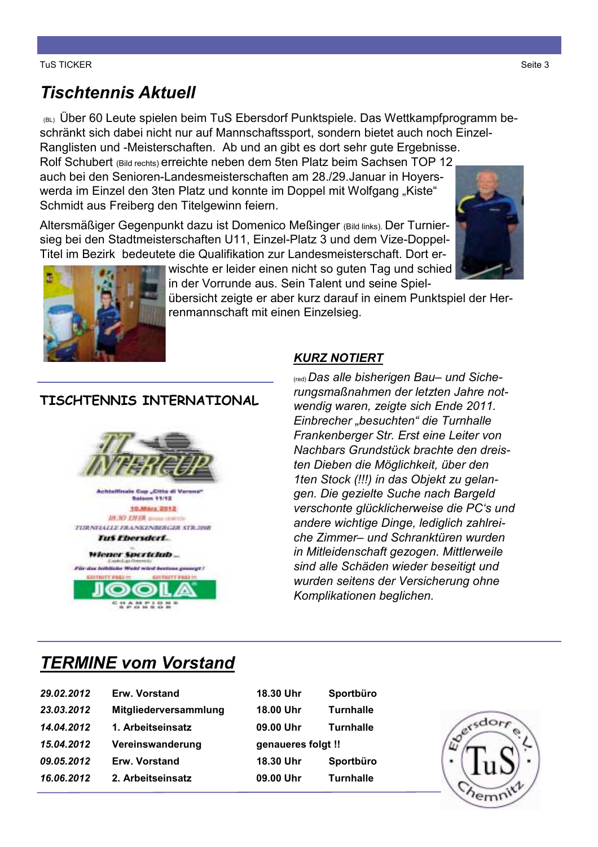# **Tischtennis Aktuell**

(BL) Über 60 Leute spielen beim TuS Ebersdorf Punktspiele. Das Wettkampfprogramm beschränkt sich dabei nicht nur auf Mannschaftssport, sondern bietet auch noch Einzel-Ranglisten und -Meisterschaften. Ab und an gibt es dort sehr gute Ergebnisse. Rolf Schubert (Bild rechts) erreichte neben dem 5ten Platz beim Sachsen TOP 12 auch bei den Senioren-Landesmeisterschaften am 28./29. Januar in Hoyerswerda im Einzel den 3ten Platz und konnte im Doppel mit Wolfgang "Kiste" Schmidt aus Freiberg den Titelgewinn feiern.

Altersmäßiger Gegenpunkt dazu ist Domenico Meßinger (Bild links). Der Turniersieg bei den Stadtmeisterschaften U11. Einzel-Platz 3 und dem Vize-Doppel-Titel im Bezirk bedeutete die Qualifikation zur Landesmeisterschaft. Dort er-





wischte er leider einen nicht so guten Tag und schied in der Vorrunde aus. Sein Talent und seine Spiel-

übersicht zeigte er aber kurz darauf in einem Punktspiel der Herrenmannschaft mit einen Einzelsieg.

#### TISCHTENNIS INTERNATIONAL



#### **KURZ NOTIERT**

<sub>(red)</sub> Das alle bisherigen Bau- und Sicherungsmaßnahmen der letzten Jahre notwendig waren, zeigte sich Ende 2011. Einbrecher "besuchten" die Turnhalle Frankenberger Str. Erst eine Leiter von Nachbars Grundstück brachte den dreisten Dieben die Möglichkeit, über den 1ten Stock (!!!) in das Objekt zu gelangen. Die gezielte Suche nach Bargeld verschonte glücklicherweise die PC's und andere wichtige Dinge, lediglich zahlreiche Zimmer- und Schranktüren wurden in Mitleidenschaft gezogen. Mittlerweile sind alle Schäden wieder beseitigt und wurden seitens der Versicherung ohne Komplikationen beglichen.

## **TERMINE vom Vorstand**

| 29.02.2012 | Erw. Vorstand         |
|------------|-----------------------|
| 23.03.2012 | Mitgliederversammlung |
| 14.04.2012 | 1. Arbeitseinsatz     |
| 15.04.2012 | Vereinswanderung      |
| 09.05.2012 | Erw. Vorstand         |
| 16.06.2012 | 2. Arbeitseinsatz     |

| 18.30 Uhr          | Sportbüro        |  |  |  |
|--------------------|------------------|--|--|--|
| 18.00 Uhr          | Turnhalle        |  |  |  |
| 09.00 Uhr          | Turnhalle        |  |  |  |
| genaueres folgt !! |                  |  |  |  |
| 18.30 Uhr          | Sportbüro        |  |  |  |
| 09.00 Uhr          | <b>Turnhalle</b> |  |  |  |